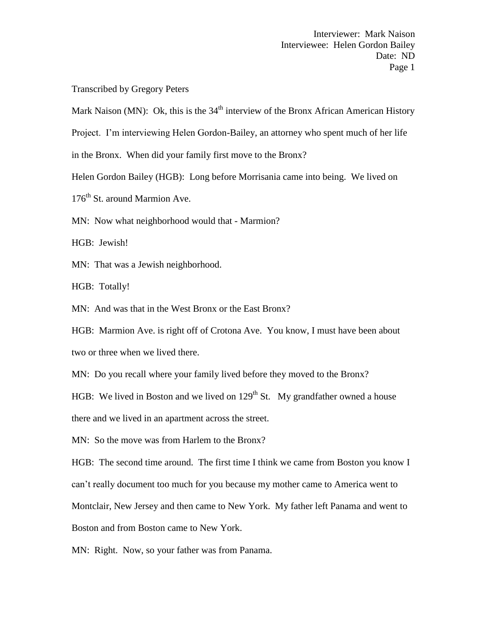Transcribed by Gregory Peters

Mark Naison (MN): Ok, this is the  $34<sup>th</sup>$  interview of the Bronx African American History

Project. I'm interviewing Helen Gordon-Bailey, an attorney who spent much of her life

in the Bronx. When did your family first move to the Bronx?

Helen Gordon Bailey (HGB): Long before Morrisania came into being. We lived on

176<sup>th</sup> St. around Marmion Ave.

MN: Now what neighborhood would that - Marmion?

HGB: Jewish!

MN: That was a Jewish neighborhood.

HGB: Totally!

MN: And was that in the West Bronx or the East Bronx?

HGB: Marmion Ave. is right off of Crotona Ave. You know, I must have been about two or three when we lived there.

MN: Do you recall where your family lived before they moved to the Bronx?

HGB: We lived in Boston and we lived on  $129<sup>th</sup>$  St. My grandfather owned a house

there and we lived in an apartment across the street.

MN: So the move was from Harlem to the Bronx?

HGB: The second time around. The first time I think we came from Boston you know I can't really document too much for you because my mother came to America went to Montclair, New Jersey and then came to New York. My father left Panama and went to Boston and from Boston came to New York.

MN: Right. Now, so your father was from Panama.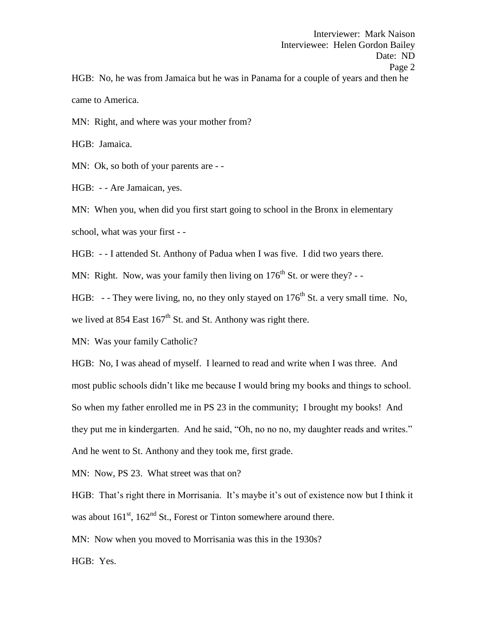Interviewee: Helen Gordon Bailey Date: ND Page 2 HGB: No, he was from Jamaica but he was in Panama for a couple of years and then he came to America.

Interviewer: Mark Naison

MN: Right, and where was your mother from?

HGB: Jamaica.

MN: Ok, so both of your parents are --

HGB: - - Are Jamaican, yes.

MN: When you, when did you first start going to school in the Bronx in elementary school, what was your first - -

HGB: - - I attended St. Anthony of Padua when I was five. I did two years there.

MN: Right. Now, was your family then living on  $176<sup>th</sup>$  St. or were they? -

HGB: - - They were living, no, no they only stayed on  $176<sup>th</sup>$  St. a very small time. No, we lived at 854 East  $167<sup>th</sup>$  St. and St. Anthony was right there.

MN: Was your family Catholic?

HGB: No, I was ahead of myself. I learned to read and write when I was three. And most public schools didn't like me because I would bring my books and things to school. So when my father enrolled me in PS 23 in the community; I brought my books! And they put me in kindergarten. And he said, "Oh, no no no, my daughter reads and writes." And he went to St. Anthony and they took me, first grade.

MN: Now, PS 23. What street was that on?

HGB: That's right there in Morrisania. It's maybe it's out of existence now but I think it was about  $161<sup>st</sup>$ ,  $162<sup>nd</sup>$  St., Forest or Tinton somewhere around there.

MN: Now when you moved to Morrisania was this in the 1930s?

HGB: Yes.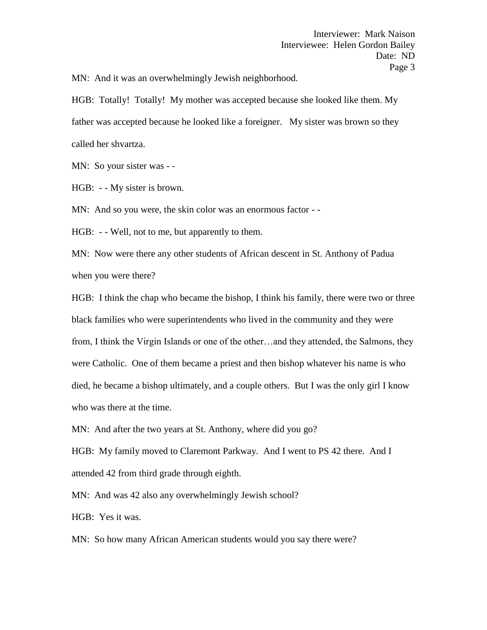MN: And it was an overwhelmingly Jewish neighborhood.

HGB: Totally! Totally! My mother was accepted because she looked like them. My father was accepted because he looked like a foreigner. My sister was brown so they called her shvartza.

MN: So your sister was - -

HGB: - - My sister is brown.

MN: And so you were, the skin color was an enormous factor - -

HGB: - - Well, not to me, but apparently to them.

MN: Now were there any other students of African descent in St. Anthony of Padua when you were there?

HGB: I think the chap who became the bishop, I think his family, there were two or three black families who were superintendents who lived in the community and they were from, I think the Virgin Islands or one of the other…and they attended, the Salmons, they were Catholic. One of them became a priest and then bishop whatever his name is who died, he became a bishop ultimately, and a couple others. But I was the only girl I know who was there at the time.

MN: And after the two years at St. Anthony, where did you go?

HGB: My family moved to Claremont Parkway. And I went to PS 42 there. And I attended 42 from third grade through eighth.

MN: And was 42 also any overwhelmingly Jewish school?

HGB: Yes it was.

MN: So how many African American students would you say there were?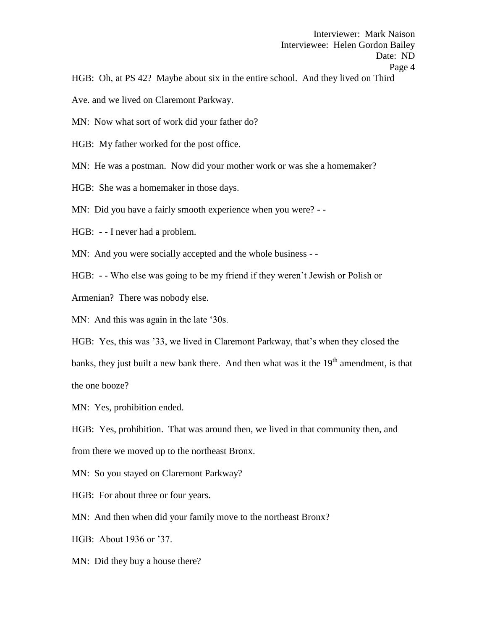HGB: Oh, at PS 42? Maybe about six in the entire school. And they lived on Third

Ave. and we lived on Claremont Parkway.

MN: Now what sort of work did your father do?

HGB: My father worked for the post office.

MN: He was a postman. Now did your mother work or was she a homemaker?

HGB: She was a homemaker in those days.

MN: Did you have a fairly smooth experience when you were? - -

HGB: - - I never had a problem.

MN: And you were socially accepted and the whole business - -

HGB: - - Who else was going to be my friend if they weren't Jewish or Polish or

Armenian? There was nobody else.

MN: And this was again in the late '30s.

HGB: Yes, this was '33, we lived in Claremont Parkway, that's when they closed the banks, they just built a new bank there. And then what was it the  $19<sup>th</sup>$  amendment, is that the one booze?

MN: Yes, prohibition ended.

HGB: Yes, prohibition. That was around then, we lived in that community then, and from there we moved up to the northeast Bronx.

MN: So you stayed on Claremont Parkway?

HGB: For about three or four years.

MN: And then when did your family move to the northeast Bronx?

HGB: About 1936 or '37.

MN: Did they buy a house there?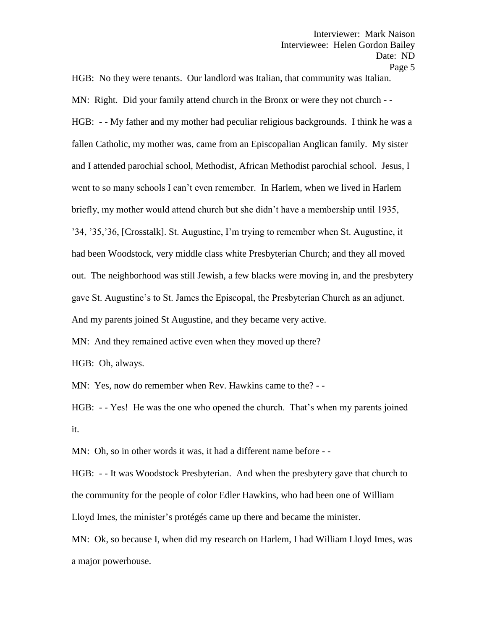HGB: No they were tenants. Our landlord was Italian, that community was Italian. MN: Right. Did your family attend church in the Bronx or were they not church - - HGB: - - My father and my mother had peculiar religious backgrounds. I think he was a fallen Catholic, my mother was, came from an Episcopalian Anglican family. My sister and I attended parochial school, Methodist, African Methodist parochial school. Jesus, I went to so many schools I can't even remember. In Harlem, when we lived in Harlem briefly, my mother would attend church but she didn't have a membership until 1935, '34, '35,'36, [Crosstalk]. St. Augustine, I'm trying to remember when St. Augustine, it had been Woodstock, very middle class white Presbyterian Church; and they all moved out. The neighborhood was still Jewish, a few blacks were moving in, and the presbytery gave St. Augustine's to St. James the Episcopal, the Presbyterian Church as an adjunct. And my parents joined St Augustine, and they became very active.

MN: And they remained active even when they moved up there?

HGB: Oh, always.

MN: Yes, now do remember when Rev. Hawkins came to the? - -

HGB: - - Yes! He was the one who opened the church. That's when my parents joined it.

MN: Oh, so in other words it was, it had a different name before --

HGB: - - It was Woodstock Presbyterian. And when the presbytery gave that church to the community for the people of color Edler Hawkins, who had been one of William Lloyd Imes, the minister's protégés came up there and became the minister.

MN: Ok, so because I, when did my research on Harlem, I had William Lloyd Imes, was a major powerhouse.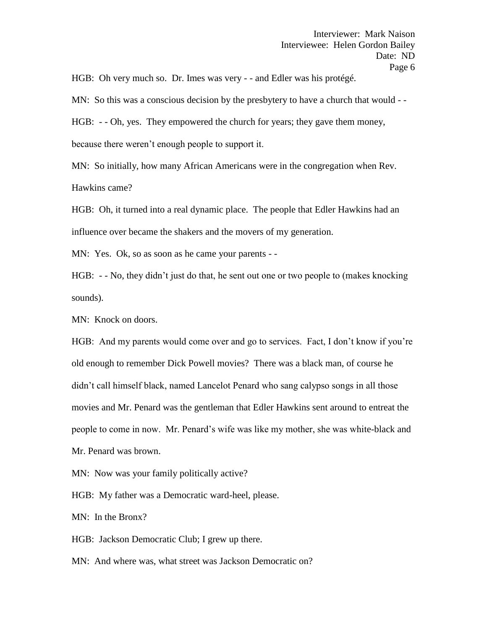HGB: Oh very much so. Dr. Imes was very - - and Edler was his protégé.

MN: So this was a conscious decision by the presbytery to have a church that would --

HGB: - - Oh, yes. They empowered the church for years; they gave them money, because there weren't enough people to support it.

MN: So initially, how many African Americans were in the congregation when Rev. Hawkins came?

HGB: Oh, it turned into a real dynamic place. The people that Edler Hawkins had an influence over became the shakers and the movers of my generation.

MN: Yes. Ok, so as soon as he came your parents - -

HGB: - - No, they didn't just do that, he sent out one or two people to (makes knocking sounds).

MN: Knock on doors.

HGB: And my parents would come over and go to services. Fact, I don't know if you're old enough to remember Dick Powell movies? There was a black man, of course he didn't call himself black, named Lancelot Penard who sang calypso songs in all those movies and Mr. Penard was the gentleman that Edler Hawkins sent around to entreat the people to come in now. Mr. Penard's wife was like my mother, she was white-black and Mr. Penard was brown.

MN: Now was your family politically active?

HGB: My father was a Democratic ward-heel, please.

MN: In the Bronx?

HGB: Jackson Democratic Club; I grew up there.

MN: And where was, what street was Jackson Democratic on?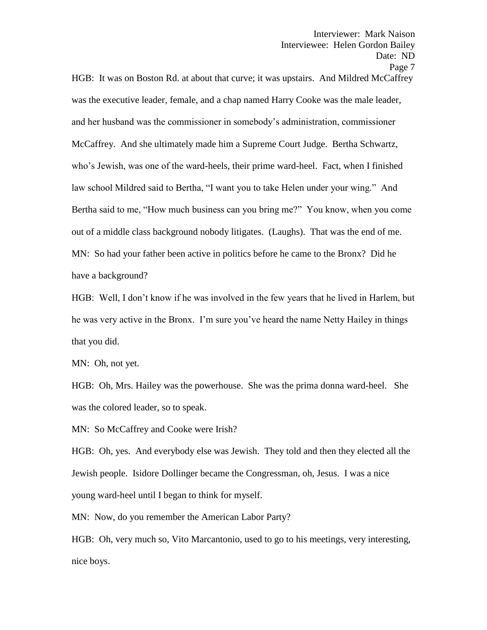HGB: It was on Boston Rd. at about that curve; it was upstairs. And Mildred McCaffrey was the executive leader, female, and a chap named Harry Cooke was the male leader, and her husband was the commissioner in somebody's administration, commissioner McCaffrey. And she ultimately made him a Supreme Court Judge. Bertha Schwartz, who's Jewish, was one of the ward-heels, their prime ward-heel. Fact, when I finished law school Mildred said to Bertha, "I want you to take Helen under your wing." And Bertha said to me, "How much business can you bring me?" You know, when you come out of a middle class background nobody litigates. (Laughs). That was the end of me. MN: So had your father been active in politics before he came to the Bronx? Did he have a background?

HGB: Well, I don't know if he was involved in the few years that he lived in Harlem, but he was very active in the Bronx. I'm sure you've heard the name Netty Hailey in things that you did.

MN: Oh, not yet.

HGB: Oh, Mrs. Hailey was the powerhouse. She was the prima donna ward-heel. She was the colored leader, so to speak.

MN: So McCaffrey and Cooke were Irish?

HGB: Oh, yes. And everybody else was Jewish. They told and then they elected all the Jewish people. Isidore Dollinger became the Congressman, oh, Jesus. I was a nice young ward-heel until I began to think for myself.

MN: Now, do you remember the American Labor Party?

HGB: Oh, very much so, Vito Marcantonio, used to go to his meetings, very interesting, nice boys.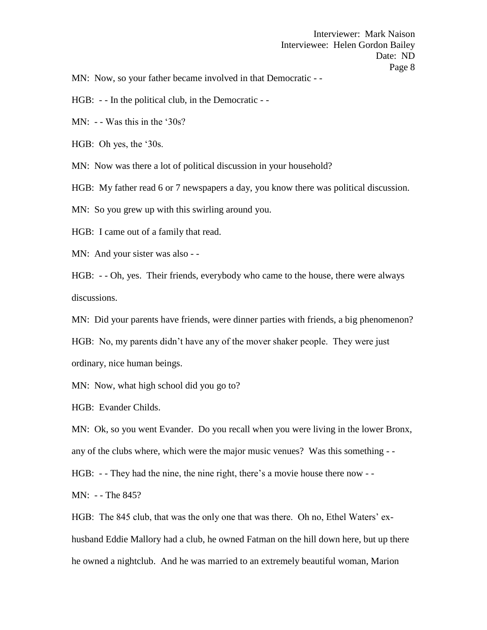MN: Now, so your father became involved in that Democratic - -

HGB: - - In the political club, in the Democratic - -

MN: - - Was this in the '30s?

HGB: Oh yes, the '30s.

MN: Now was there a lot of political discussion in your household?

HGB: My father read 6 or 7 newspapers a day, you know there was political discussion.

MN: So you grew up with this swirling around you.

HGB: I came out of a family that read.

MN: And your sister was also - -

HGB: - - Oh, yes. Their friends, everybody who came to the house, there were always discussions.

MN: Did your parents have friends, were dinner parties with friends, a big phenomenon?

HGB: No, my parents didn't have any of the mover shaker people. They were just ordinary, nice human beings.

MN: Now, what high school did you go to?

HGB: Evander Childs.

MN: Ok, so you went Evander. Do you recall when you were living in the lower Bronx,

any of the clubs where, which were the major music venues? Was this something - -

HGB: - - They had the nine, the nine right, there's a movie house there now - -

MN: - - The 845?

HGB: The 845 club, that was the only one that was there. Oh no, Ethel Waters' exhusband Eddie Mallory had a club, he owned Fatman on the hill down here, but up there he owned a nightclub. And he was married to an extremely beautiful woman, Marion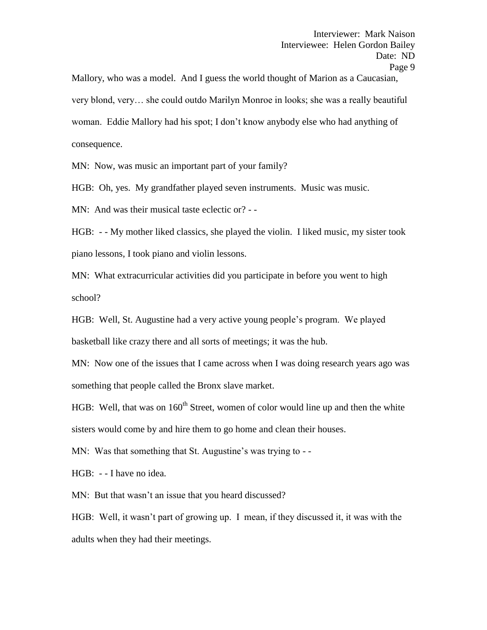Mallory, who was a model. And I guess the world thought of Marion as a Caucasian, very blond, very… she could outdo Marilyn Monroe in looks; she was a really beautiful woman. Eddie Mallory had his spot; I don't know anybody else who had anything of consequence.

MN: Now, was music an important part of your family?

HGB: Oh, yes. My grandfather played seven instruments. Music was music.

MN: And was their musical taste eclectic or? - -

HGB: - - My mother liked classics, she played the violin. I liked music, my sister took piano lessons, I took piano and violin lessons.

MN: What extracurricular activities did you participate in before you went to high school?

HGB: Well, St. Augustine had a very active young people's program. We played basketball like crazy there and all sorts of meetings; it was the hub.

MN: Now one of the issues that I came across when I was doing research years ago was something that people called the Bronx slave market.

HGB: Well, that was on  $160<sup>th</sup>$  Street, women of color would line up and then the white sisters would come by and hire them to go home and clean their houses.

MN: Was that something that St. Augustine's was trying to - -

HGB: - - I have no idea.

MN: But that wasn't an issue that you heard discussed?

HGB: Well, it wasn't part of growing up. I mean, if they discussed it, it was with the adults when they had their meetings.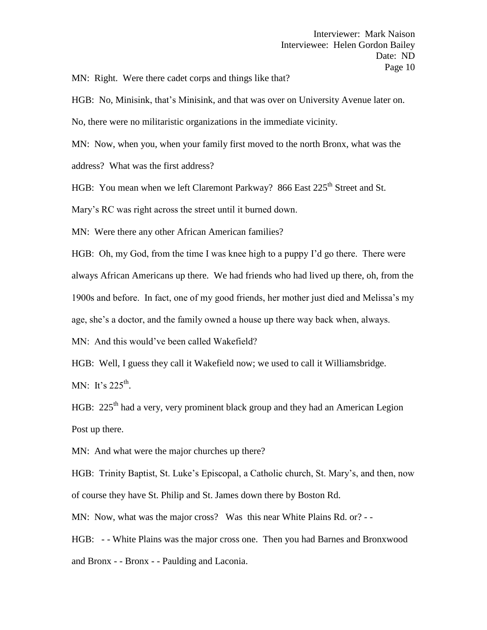MN: Right. Were there cadet corps and things like that?

HGB: No, Minisink, that's Minisink, and that was over on University Avenue later on.

No, there were no militaristic organizations in the immediate vicinity.

MN: Now, when you, when your family first moved to the north Bronx, what was the

address? What was the first address?

HGB: You mean when we left Claremont Parkway? 866 East 225<sup>th</sup> Street and St.

Mary's RC was right across the street until it burned down.

MN: Were there any other African American families?

HGB: Oh, my God, from the time I was knee high to a puppy I'd go there. There were always African Americans up there. We had friends who had lived up there, oh, from the 1900s and before. In fact, one of my good friends, her mother just died and Melissa's my age, she's a doctor, and the family owned a house up there way back when, always.

MN: And this would've been called Wakefield?

HGB: Well, I guess they call it Wakefield now; we used to call it Williamsbridge.

MN: It's  $225^{\text{th}}$ .

HGB:  $225<sup>th</sup>$  had a very, very prominent black group and they had an American Legion Post up there.

MN: And what were the major churches up there?

HGB: Trinity Baptist, St. Luke's Episcopal, a Catholic church, St. Mary's, and then, now of course they have St. Philip and St. James down there by Boston Rd.

MN: Now, what was the major cross? Was this near White Plains Rd. or? - -

HGB: - - White Plains was the major cross one. Then you had Barnes and Bronxwood and Bronx - - Bronx - - Paulding and Laconia.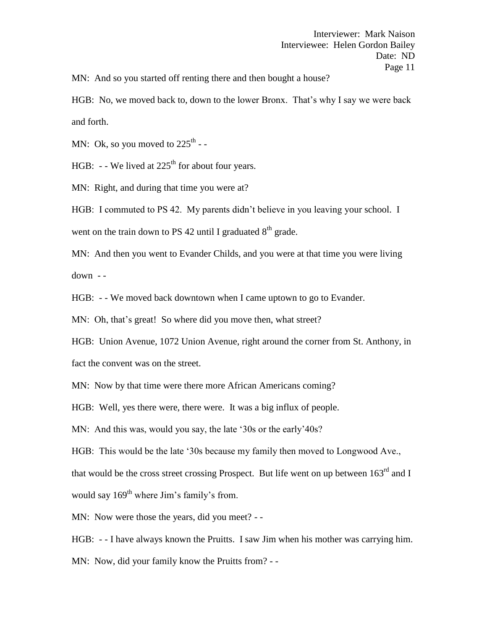MN: And so you started off renting there and then bought a house?

HGB: No, we moved back to, down to the lower Bronx. That's why I say we were back and forth.

MN: Ok, so you moved to  $225^{\text{th}}$  --

HGB:  $-$  - We lived at 225<sup>th</sup> for about four years.

MN: Right, and during that time you were at?

HGB: I commuted to PS 42. My parents didn't believe in you leaving your school. I

went on the train down to PS 42 until I graduated  $8<sup>th</sup>$  grade.

MN: And then you went to Evander Childs, and you were at that time you were living down - -

HGB: - - We moved back downtown when I came uptown to go to Evander.

MN: Oh, that's great! So where did you move then, what street?

HGB: Union Avenue, 1072 Union Avenue, right around the corner from St. Anthony, in

fact the convent was on the street.

MN: Now by that time were there more African Americans coming?

HGB: Well, yes there were, there were. It was a big influx of people.

MN: And this was, would you say, the late '30s or the early'40s?

HGB: This would be the late '30s because my family then moved to Longwood Ave.,

that would be the cross street crossing Prospect. But life went on up between  $163<sup>rd</sup>$  and I

would say  $169<sup>th</sup>$  where Jim's family's from.

MN: Now were those the years, did you meet? - -

HGB: - - I have always known the Pruitts. I saw Jim when his mother was carrying him.

MN: Now, did your family know the Pruitts from? - -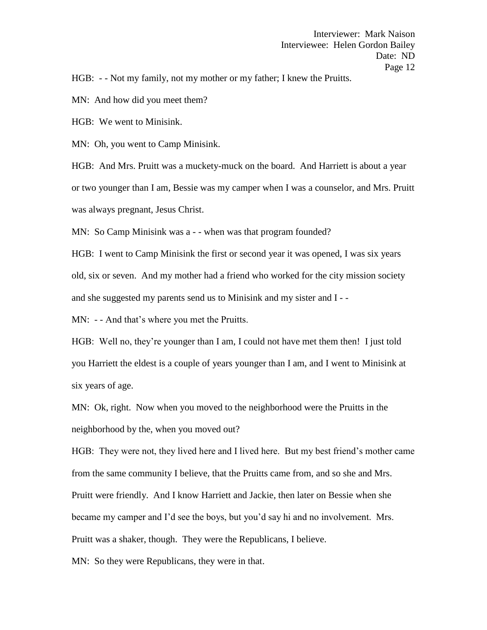HGB: - - Not my family, not my mother or my father; I knew the Pruitts.

MN: And how did you meet them?

HGB: We went to Minisink.

MN: Oh, you went to Camp Minisink.

HGB: And Mrs. Pruitt was a muckety-muck on the board. And Harriett is about a year or two younger than I am, Bessie was my camper when I was a counselor, and Mrs. Pruitt was always pregnant, Jesus Christ.

MN: So Camp Minisink was a - - when was that program founded?

HGB: I went to Camp Minisink the first or second year it was opened, I was six years old, six or seven. And my mother had a friend who worked for the city mission society and she suggested my parents send us to Minisink and my sister and I - -

MN: - - And that's where you met the Pruitts.

HGB: Well no, they're younger than I am, I could not have met them then! I just told you Harriett the eldest is a couple of years younger than I am, and I went to Minisink at six years of age.

MN: Ok, right. Now when you moved to the neighborhood were the Pruitts in the neighborhood by the, when you moved out?

HGB: They were not, they lived here and I lived here. But my best friend's mother came from the same community I believe, that the Pruitts came from, and so she and Mrs. Pruitt were friendly. And I know Harriett and Jackie, then later on Bessie when she became my camper and I'd see the boys, but you'd say hi and no involvement. Mrs. Pruitt was a shaker, though. They were the Republicans, I believe.

MN: So they were Republicans, they were in that.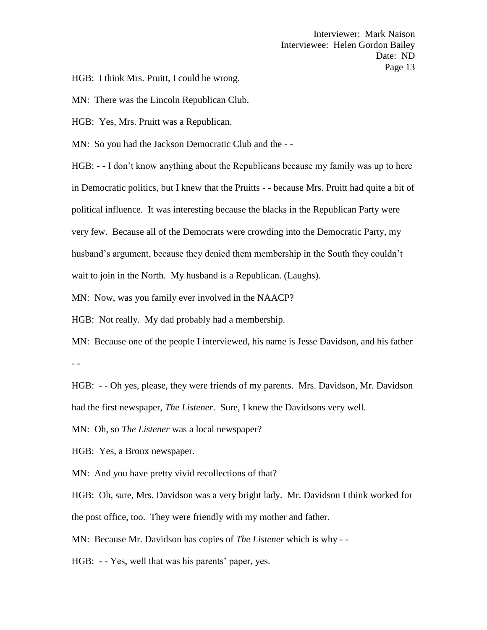HGB: I think Mrs. Pruitt, I could be wrong.

MN: There was the Lincoln Republican Club.

HGB: Yes, Mrs. Pruitt was a Republican.

MN: So you had the Jackson Democratic Club and the - -

HGB: - - I don't know anything about the Republicans because my family was up to here in Democratic politics, but I knew that the Pruitts - - because Mrs. Pruitt had quite a bit of political influence. It was interesting because the blacks in the Republican Party were very few. Because all of the Democrats were crowding into the Democratic Party, my husband's argument, because they denied them membership in the South they couldn't wait to join in the North. My husband is a Republican. (Laughs).

MN: Now, was you family ever involved in the NAACP?

HGB: Not really. My dad probably had a membership.

MN: Because one of the people I interviewed, his name is Jesse Davidson, and his father - -

HGB: - - Oh yes, please, they were friends of my parents. Mrs. Davidson, Mr. Davidson had the first newspaper, *The Listener*. Sure, I knew the Davidsons very well.

MN: Oh, so *The Listener* was a local newspaper?

HGB: Yes, a Bronx newspaper.

MN: And you have pretty vivid recollections of that?

HGB: Oh, sure, Mrs. Davidson was a very bright lady. Mr. Davidson I think worked for the post office, too. They were friendly with my mother and father.

MN: Because Mr. Davidson has copies of *The Listener* which is why - -

HGB: - - Yes, well that was his parents' paper, yes.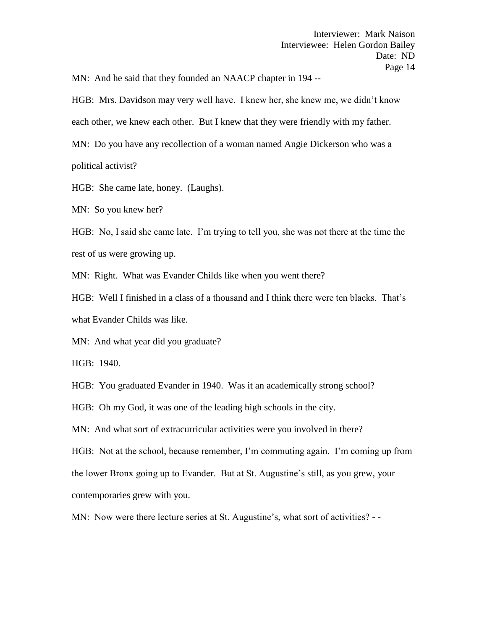MN: And he said that they founded an NAACP chapter in 194 --

HGB: Mrs. Davidson may very well have. I knew her, she knew me, we didn't know each other, we knew each other. But I knew that they were friendly with my father. MN: Do you have any recollection of a woman named Angie Dickerson who was a political activist?

HGB: She came late, honey. (Laughs).

MN: So you knew her?

HGB: No, I said she came late. I'm trying to tell you, she was not there at the time the rest of us were growing up.

MN: Right. What was Evander Childs like when you went there?

HGB: Well I finished in a class of a thousand and I think there were ten blacks. That's what Evander Childs was like.

MN: And what year did you graduate?

HGB: 1940.

HGB: You graduated Evander in 1940. Was it an academically strong school?

HGB: Oh my God, it was one of the leading high schools in the city.

MN: And what sort of extracurricular activities were you involved in there?

HGB: Not at the school, because remember, I'm commuting again. I'm coming up from the lower Bronx going up to Evander. But at St. Augustine's still, as you grew, your contemporaries grew with you.

MN: Now were there lecture series at St. Augustine's, what sort of activities? - -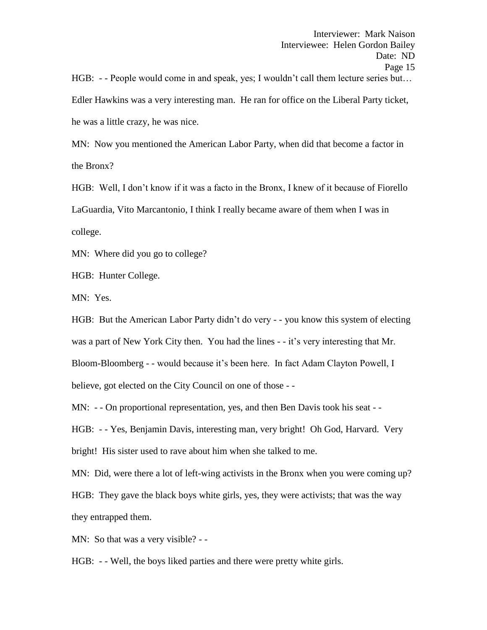HGB: - - People would come in and speak, yes; I wouldn't call them lecture series but... Edler Hawkins was a very interesting man. He ran for office on the Liberal Party ticket, he was a little crazy, he was nice.

MN: Now you mentioned the American Labor Party, when did that become a factor in the Bronx?

HGB: Well, I don't know if it was a facto in the Bronx, I knew of it because of Fiorello LaGuardia, Vito Marcantonio, I think I really became aware of them when I was in college.

MN: Where did you go to college?

HGB: Hunter College.

MN: Yes.

HGB: But the American Labor Party didn't do very - - you know this system of electing was a part of New York City then. You had the lines - - it's very interesting that Mr. Bloom-Bloomberg - - would because it's been here. In fact Adam Clayton Powell, I believe, got elected on the City Council on one of those - -

MN: - - On proportional representation, yes, and then Ben Davis took his seat - -

HGB: - - Yes, Benjamin Davis, interesting man, very bright! Oh God, Harvard. Very bright! His sister used to rave about him when she talked to me.

MN: Did, were there a lot of left-wing activists in the Bronx when you were coming up?

HGB: They gave the black boys white girls, yes, they were activists; that was the way they entrapped them.

MN: So that was a very visible? - -

HGB: - - Well, the boys liked parties and there were pretty white girls.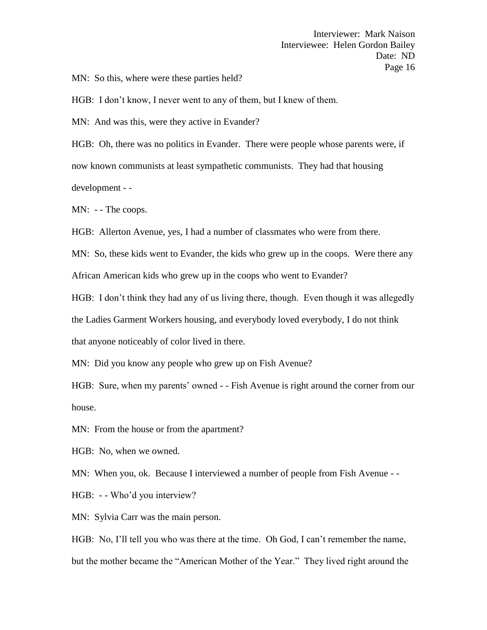MN: So this, where were these parties held?

HGB: I don't know, I never went to any of them, but I knew of them.

MN: And was this, were they active in Evander?

HGB: Oh, there was no politics in Evander. There were people whose parents were, if now known communists at least sympathetic communists. They had that housing development - -

MN: - - The coops.

HGB: Allerton Avenue, yes, I had a number of classmates who were from there.

MN: So, these kids went to Evander, the kids who grew up in the coops. Were there any African American kids who grew up in the coops who went to Evander?

HGB: I don't think they had any of us living there, though. Even though it was allegedly the Ladies Garment Workers housing, and everybody loved everybody, I do not think that anyone noticeably of color lived in there.

MN: Did you know any people who grew up on Fish Avenue?

HGB: Sure, when my parents' owned - - Fish Avenue is right around the corner from our house.

MN: From the house or from the apartment?

HGB: No, when we owned.

MN: When you, ok. Because I interviewed a number of people from Fish Avenue - -

HGB: - - Who'd you interview?

MN: Sylvia Carr was the main person.

HGB: No, I'll tell you who was there at the time. Oh God, I can't remember the name, but the mother became the "American Mother of the Year." They lived right around the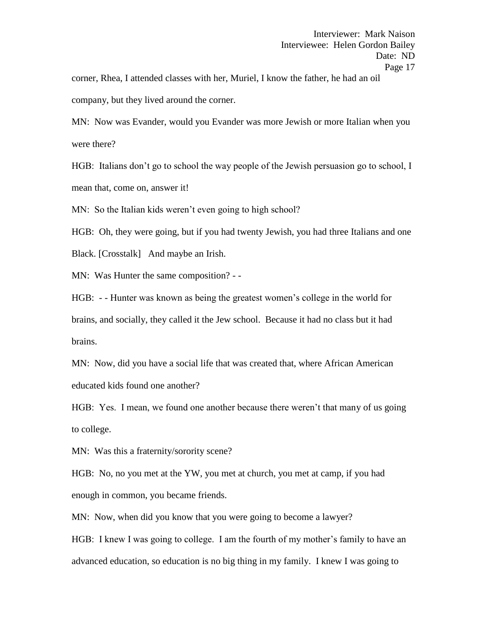corner, Rhea, I attended classes with her, Muriel, I know the father, he had an oil company, but they lived around the corner.

MN: Now was Evander, would you Evander was more Jewish or more Italian when you were there?

HGB: Italians don't go to school the way people of the Jewish persuasion go to school, I mean that, come on, answer it!

MN: So the Italian kids weren't even going to high school?

HGB: Oh, they were going, but if you had twenty Jewish, you had three Italians and one

Black. [Crosstalk] And maybe an Irish.

MN: Was Hunter the same composition? - -

HGB: - - Hunter was known as being the greatest women's college in the world for brains, and socially, they called it the Jew school. Because it had no class but it had brains.

MN: Now, did you have a social life that was created that, where African American educated kids found one another?

HGB: Yes. I mean, we found one another because there weren't that many of us going to college.

MN: Was this a fraternity/sorority scene?

HGB: No, no you met at the YW, you met at church, you met at camp, if you had enough in common, you became friends.

MN: Now, when did you know that you were going to become a lawyer?

HGB: I knew I was going to college. I am the fourth of my mother's family to have an advanced education, so education is no big thing in my family. I knew I was going to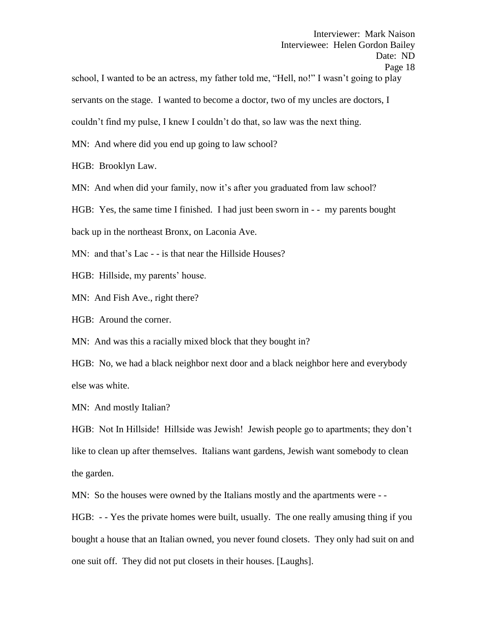school, I wanted to be an actress, my father told me, "Hell, no!" I wasn't going to play servants on the stage. I wanted to become a doctor, two of my uncles are doctors, I couldn't find my pulse, I knew I couldn't do that, so law was the next thing. MN: And where did you end up going to law school?

HGB: Brooklyn Law.

MN: And when did your family, now it's after you graduated from law school?

HGB: Yes, the same time I finished. I had just been sworn in - - my parents bought

back up in the northeast Bronx, on Laconia Ave.

MN: and that's Lac - - is that near the Hillside Houses?

HGB: Hillside, my parents' house.

MN: And Fish Ave., right there?

HGB: Around the corner.

MN: And was this a racially mixed block that they bought in?

HGB: No, we had a black neighbor next door and a black neighbor here and everybody else was white.

MN: And mostly Italian?

HGB: Not In Hillside! Hillside was Jewish! Jewish people go to apartments; they don't like to clean up after themselves. Italians want gardens, Jewish want somebody to clean the garden.

MN: So the houses were owned by the Italians mostly and the apartments were - -

HGB: - - Yes the private homes were built, usually. The one really amusing thing if you bought a house that an Italian owned, you never found closets. They only had suit on and one suit off. They did not put closets in their houses. [Laughs].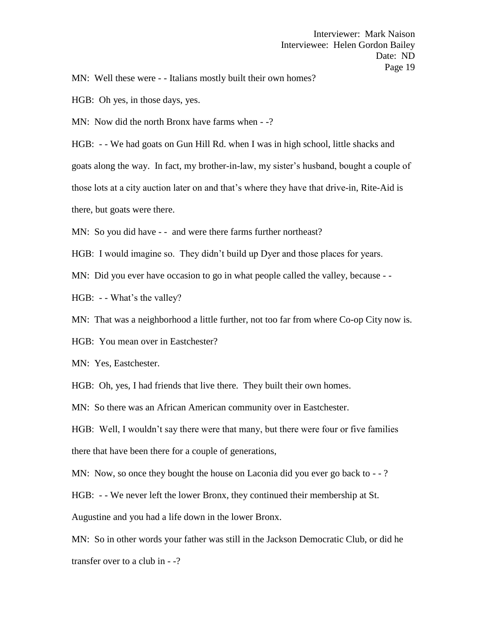MN: Well these were - - Italians mostly built their own homes?

HGB: Oh yes, in those days, yes.

MN: Now did the north Bronx have farms when  $-$ -?

HGB: - - We had goats on Gun Hill Rd. when I was in high school, little shacks and goats along the way. In fact, my brother-in-law, my sister's husband, bought a couple of those lots at a city auction later on and that's where they have that drive-in, Rite-Aid is there, but goats were there.

MN: So you did have - - and were there farms further northeast?

HGB: I would imagine so. They didn't build up Dyer and those places for years.

MN: Did you ever have occasion to go in what people called the valley, because - -

HGB: - - What's the valley?

MN: That was a neighborhood a little further, not too far from where Co-op City now is.

HGB: You mean over in Eastchester?

MN: Yes, Eastchester.

HGB: Oh, yes, I had friends that live there. They built their own homes.

MN: So there was an African American community over in Eastchester.

HGB: Well, I wouldn't say there were that many, but there were four or five families there that have been there for a couple of generations,

MN: Now, so once they bought the house on Laconia did you ever go back to - -?

HGB: - - We never left the lower Bronx, they continued their membership at St.

Augustine and you had a life down in the lower Bronx.

MN: So in other words your father was still in the Jackson Democratic Club, or did he transfer over to a club in - -?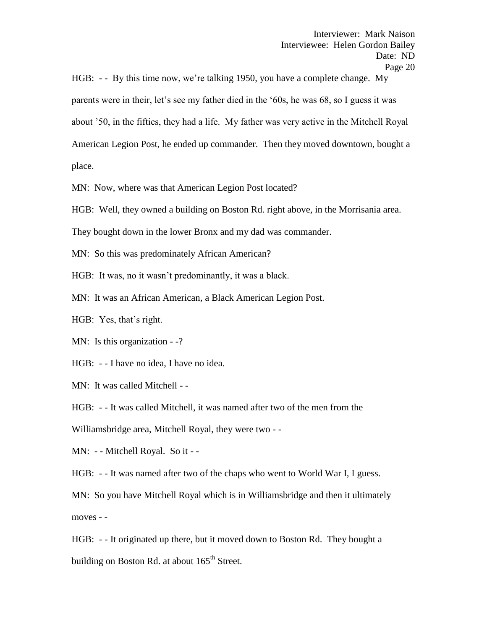HGB: - - By this time now, we're talking 1950, you have a complete change. My parents were in their, let's see my father died in the '60s, he was 68, so I guess it was about '50, in the fifties, they had a life. My father was very active in the Mitchell Royal American Legion Post, he ended up commander. Then they moved downtown, bought a place.

MN: Now, where was that American Legion Post located?

HGB: Well, they owned a building on Boston Rd. right above, in the Morrisania area.

They bought down in the lower Bronx and my dad was commander.

MN: So this was predominately African American?

HGB: It was, no it wasn't predominantly, it was a black.

MN: It was an African American, a Black American Legion Post.

HGB: Yes, that's right.

MN: Is this organization - -?

HGB: - - I have no idea, I have no idea.

MN: It was called Mitchell - -

HGB: - - It was called Mitchell, it was named after two of the men from the

Williamsbridge area, Mitchell Royal, they were two - -

MN: - - Mitchell Royal. So it - -

HGB: - - It was named after two of the chaps who went to World War I, I guess.

MN: So you have Mitchell Royal which is in Williamsbridge and then it ultimately moves - -

HGB: - - It originated up there, but it moved down to Boston Rd. They bought a building on Boston Rd. at about 165<sup>th</sup> Street.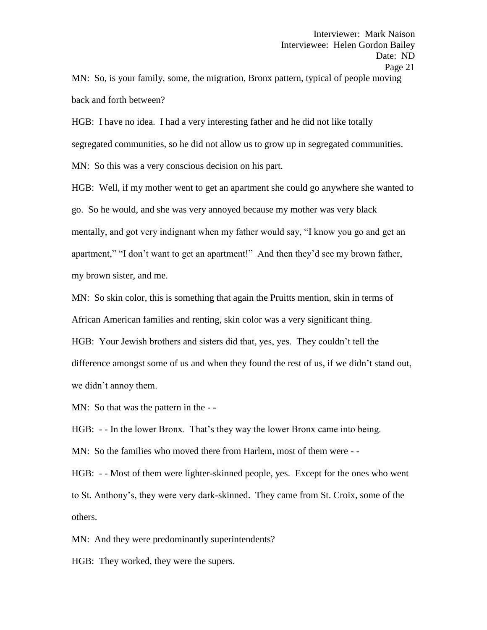MN: So, is your family, some, the migration, Bronx pattern, typical of people moving back and forth between?

HGB: I have no idea. I had a very interesting father and he did not like totally segregated communities, so he did not allow us to grow up in segregated communities.

MN: So this was a very conscious decision on his part.

HGB: Well, if my mother went to get an apartment she could go anywhere she wanted to go. So he would, and she was very annoyed because my mother was very black mentally, and got very indignant when my father would say, "I know you go and get an apartment," "I don't want to get an apartment!" And then they'd see my brown father, my brown sister, and me.

MN: So skin color, this is something that again the Pruitts mention, skin in terms of African American families and renting, skin color was a very significant thing.

HGB: Your Jewish brothers and sisters did that, yes, yes. They couldn't tell the difference amongst some of us and when they found the rest of us, if we didn't stand out, we didn't annoy them.

MN: So that was the pattern in the --

HGB: - - In the lower Bronx. That's they way the lower Bronx came into being.

MN: So the families who moved there from Harlem, most of them were - -

HGB: - - Most of them were lighter-skinned people, yes. Except for the ones who went to St. Anthony's, they were very dark-skinned. They came from St. Croix, some of the others.

MN: And they were predominantly superintendents?

HGB: They worked, they were the supers.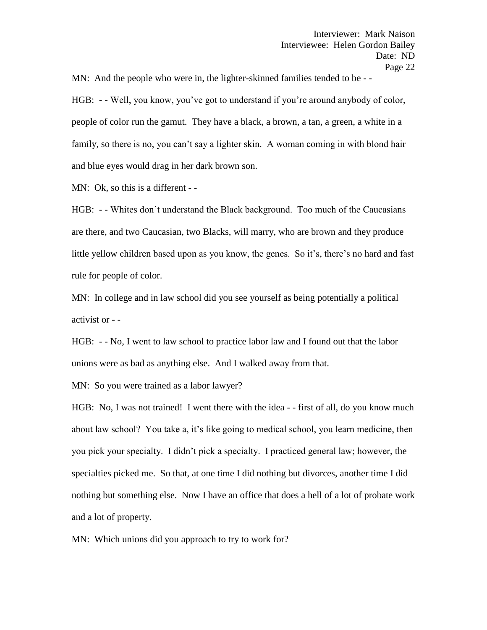MN: And the people who were in, the lighter-skinned families tended to be - -

HGB: - - Well, you know, you've got to understand if you're around anybody of color, people of color run the gamut. They have a black, a brown, a tan, a green, a white in a family, so there is no, you can't say a lighter skin. A woman coming in with blond hair and blue eyes would drag in her dark brown son.

MN: Ok, so this is a different - -

HGB: - - Whites don't understand the Black background. Too much of the Caucasians are there, and two Caucasian, two Blacks, will marry, who are brown and they produce little yellow children based upon as you know, the genes. So it's, there's no hard and fast rule for people of color.

MN: In college and in law school did you see yourself as being potentially a political activist or - -

HGB: - - No, I went to law school to practice labor law and I found out that the labor unions were as bad as anything else. And I walked away from that.

MN: So you were trained as a labor lawyer?

HGB: No, I was not trained! I went there with the idea - - first of all, do you know much about law school? You take a, it's like going to medical school, you learn medicine, then you pick your specialty. I didn't pick a specialty. I practiced general law; however, the specialties picked me. So that, at one time I did nothing but divorces, another time I did nothing but something else. Now I have an office that does a hell of a lot of probate work and a lot of property.

MN: Which unions did you approach to try to work for?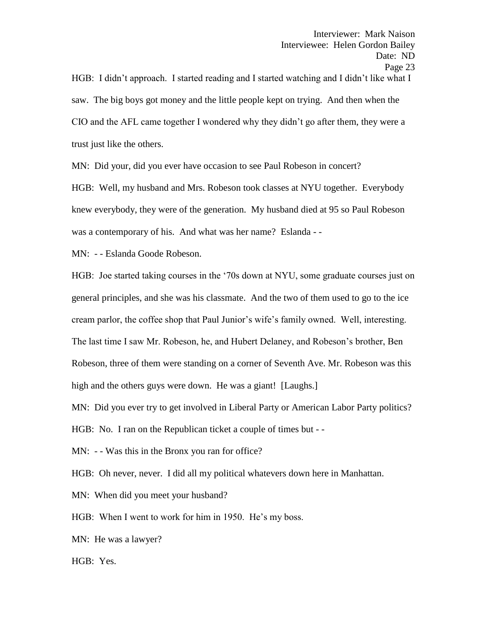HGB: I didn't approach. I started reading and I started watching and I didn't like what I saw. The big boys got money and the little people kept on trying. And then when the CIO and the AFL came together I wondered why they didn't go after them, they were a trust just like the others.

MN: Did your, did you ever have occasion to see Paul Robeson in concert?

HGB: Well, my husband and Mrs. Robeson took classes at NYU together. Everybody knew everybody, they were of the generation. My husband died at 95 so Paul Robeson was a contemporary of his. And what was her name? Eslanda - -

MN: - - Eslanda Goode Robeson.

HGB: Joe started taking courses in the '70s down at NYU, some graduate courses just on general principles, and she was his classmate. And the two of them used to go to the ice cream parlor, the coffee shop that Paul Junior's wife's family owned. Well, interesting. The last time I saw Mr. Robeson, he, and Hubert Delaney, and Robeson's brother, Ben Robeson, three of them were standing on a corner of Seventh Ave. Mr. Robeson was this high and the others guys were down. He was a giant! [Laughs.]

MN: Did you ever try to get involved in Liberal Party or American Labor Party politics?

HGB: No. I ran on the Republican ticket a couple of times but - -

MN: - - Was this in the Bronx you ran for office?

HGB: Oh never, never. I did all my political whatevers down here in Manhattan.

MN: When did you meet your husband?

HGB: When I went to work for him in 1950. He's my boss.

MN: He was a lawyer?

HGB: Yes.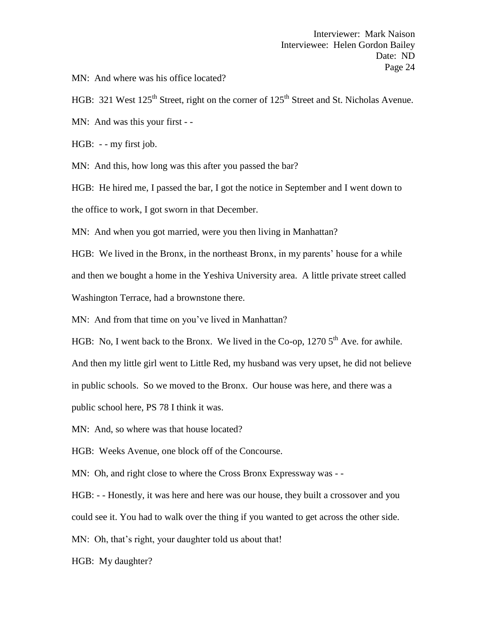MN: And where was his office located?

HGB: 321 West 125<sup>th</sup> Street, right on the corner of 125<sup>th</sup> Street and St. Nicholas Avenue.

MN: And was this your first - -

HGB: - - my first job.

MN: And this, how long was this after you passed the bar?

HGB: He hired me, I passed the bar, I got the notice in September and I went down to the office to work, I got sworn in that December.

MN: And when you got married, were you then living in Manhattan?

HGB: We lived in the Bronx, in the northeast Bronx, in my parents' house for a while and then we bought a home in the Yeshiva University area. A little private street called Washington Terrace, had a brownstone there.

MN: And from that time on you've lived in Manhattan?

HGB: No, I went back to the Bronx. We lived in the Co-op,  $12705<sup>th</sup>$  Ave. for awhile.

And then my little girl went to Little Red, my husband was very upset, he did not believe

in public schools. So we moved to the Bronx. Our house was here, and there was a

public school here, PS 78 I think it was.

MN: And, so where was that house located?

HGB: Weeks Avenue, one block off of the Concourse.

MN: Oh, and right close to where the Cross Bronx Expressway was --

HGB: - - Honestly, it was here and here was our house, they built a crossover and you

could see it. You had to walk over the thing if you wanted to get across the other side.

MN: Oh, that's right, your daughter told us about that!

HGB: My daughter?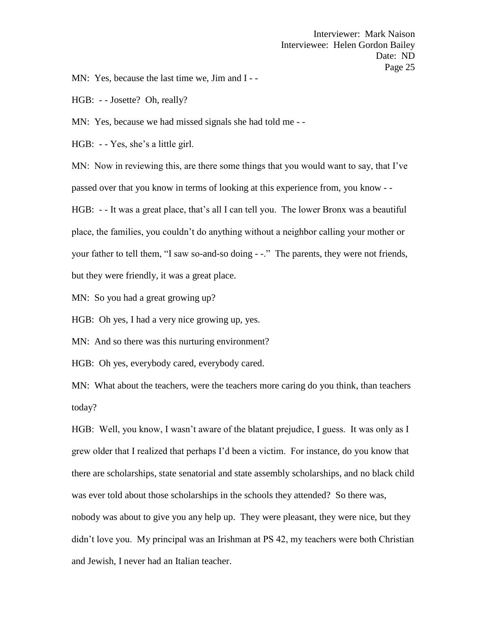MN: Yes, because the last time we, Jim and I --

HGB: - - Josette? Oh, really?

MN: Yes, because we had missed signals she had told me - -

HGB: - - Yes, she's a little girl.

MN: Now in reviewing this, are there some things that you would want to say, that I've passed over that you know in terms of looking at this experience from, you know - -

HGB: - - It was a great place, that's all I can tell you. The lower Bronx was a beautiful place, the families, you couldn't do anything without a neighbor calling your mother or your father to tell them, "I saw so-and-so doing - -." The parents, they were not friends, but they were friendly, it was a great place.

MN: So you had a great growing up?

HGB: Oh yes, I had a very nice growing up, yes.

MN: And so there was this nurturing environment?

HGB: Oh yes, everybody cared, everybody cared.

MN: What about the teachers, were the teachers more caring do you think, than teachers today?

HGB: Well, you know, I wasn't aware of the blatant prejudice, I guess. It was only as I grew older that I realized that perhaps I'd been a victim. For instance, do you know that there are scholarships, state senatorial and state assembly scholarships, and no black child was ever told about those scholarships in the schools they attended? So there was, nobody was about to give you any help up. They were pleasant, they were nice, but they didn't love you. My principal was an Irishman at PS 42, my teachers were both Christian and Jewish, I never had an Italian teacher.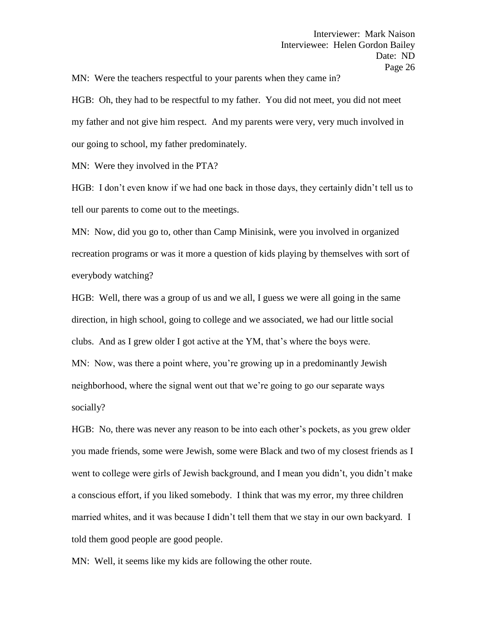MN: Were the teachers respectful to your parents when they came in?

HGB: Oh, they had to be respectful to my father. You did not meet, you did not meet my father and not give him respect. And my parents were very, very much involved in our going to school, my father predominately.

MN: Were they involved in the PTA?

HGB: I don't even know if we had one back in those days, they certainly didn't tell us to tell our parents to come out to the meetings.

MN: Now, did you go to, other than Camp Minisink, were you involved in organized recreation programs or was it more a question of kids playing by themselves with sort of everybody watching?

HGB: Well, there was a group of us and we all, I guess we were all going in the same direction, in high school, going to college and we associated, we had our little social clubs. And as I grew older I got active at the YM, that's where the boys were.

MN: Now, was there a point where, you're growing up in a predominantly Jewish neighborhood, where the signal went out that we're going to go our separate ways socially?

HGB: No, there was never any reason to be into each other's pockets, as you grew older you made friends, some were Jewish, some were Black and two of my closest friends as I went to college were girls of Jewish background, and I mean you didn't, you didn't make a conscious effort, if you liked somebody. I think that was my error, my three children married whites, and it was because I didn't tell them that we stay in our own backyard. I told them good people are good people.

MN: Well, it seems like my kids are following the other route.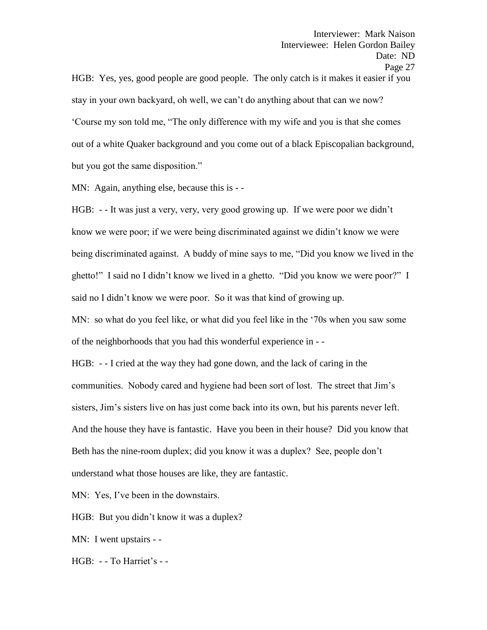HGB: Yes, yes, good people are good people. The only catch is it makes it easier if you stay in your own backyard, oh well, we can't do anything about that can we now? 'Course my son told me, "The only difference with my wife and you is that she comes out of a white Quaker background and you come out of a black Episcopalian background, but you got the same disposition."

MN: Again, anything else, because this is - -

HGB: - - It was just a very, very, very good growing up. If we were poor we didn't know we were poor; if we were being discriminated against we didin't know we were being discriminated against. A buddy of mine says to me, "Did you know we lived in the ghetto!" I said no I didn't know we lived in a ghetto. "Did you know we were poor?" I said no I didn't know we were poor. So it was that kind of growing up.

MN: so what do you feel like, or what did you feel like in the '70s when you saw some of the neighborhoods that you had this wonderful experience in - -

HGB: - - I cried at the way they had gone down, and the lack of caring in the communities. Nobody cared and hygiene had been sort of lost. The street that Jim's sisters, Jim's sisters live on has just come back into its own, but his parents never left. And the house they have is fantastic. Have you been in their house? Did you know that Beth has the nine-room duplex; did you know it was a duplex? See, people don't understand what those houses are like, they are fantastic.

MN: Yes, I've been in the downstairs.

HGB: But you didn't know it was a duplex?

MN: I went upstairs - -

HGB: - - To Harriet's - -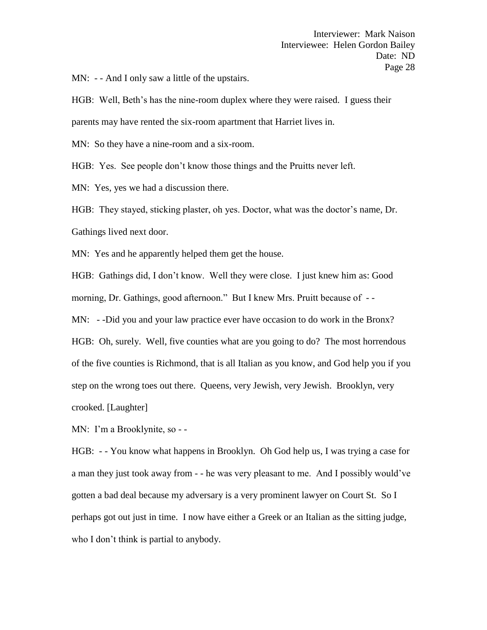MN: - - And I only saw a little of the upstairs.

HGB: Well, Beth's has the nine-room duplex where they were raised. I guess their parents may have rented the six-room apartment that Harriet lives in.

MN: So they have a nine-room and a six-room.

HGB: Yes. See people don't know those things and the Pruitts never left.

MN: Yes, yes we had a discussion there.

HGB: They stayed, sticking plaster, oh yes. Doctor, what was the doctor's name, Dr. Gathings lived next door.

MN: Yes and he apparently helped them get the house.

HGB: Gathings did, I don't know. Well they were close. I just knew him as: Good morning, Dr. Gathings, good afternoon." But I knew Mrs. Pruitt because of --

MN: - -Did you and your law practice ever have occasion to do work in the Bronx?

HGB: Oh, surely. Well, five counties what are you going to do? The most horrendous of the five counties is Richmond, that is all Italian as you know, and God help you if you step on the wrong toes out there. Queens, very Jewish, very Jewish. Brooklyn, very crooked. [Laughter]

MN: I'm a Brooklynite, so - -

HGB: - - You know what happens in Brooklyn. Oh God help us, I was trying a case for a man they just took away from - - he was very pleasant to me. And I possibly would've gotten a bad deal because my adversary is a very prominent lawyer on Court St. So I perhaps got out just in time. I now have either a Greek or an Italian as the sitting judge, who I don't think is partial to anybody.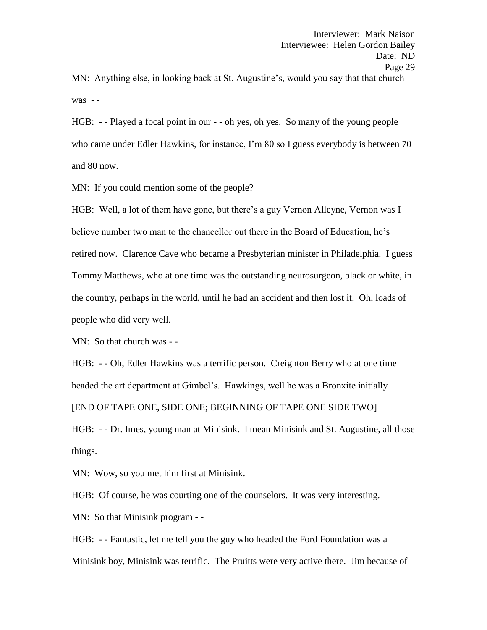MN: Anything else, in looking back at St. Augustine's, would you say that that church was - -

HGB: - - Played a focal point in our - - oh yes, oh yes. So many of the young people who came under Edler Hawkins, for instance, I'm 80 so I guess everybody is between 70 and 80 now.

MN: If you could mention some of the people?

HGB: Well, a lot of them have gone, but there's a guy Vernon Alleyne, Vernon was I believe number two man to the chancellor out there in the Board of Education, he's retired now. Clarence Cave who became a Presbyterian minister in Philadelphia. I guess Tommy Matthews, who at one time was the outstanding neurosurgeon, black or white, in the country, perhaps in the world, until he had an accident and then lost it. Oh, loads of people who did very well.

MN: So that church was - -

HGB: - - Oh, Edler Hawkins was a terrific person. Creighton Berry who at one time headed the art department at Gimbel's. Hawkings, well he was a Bronxite initially – [END OF TAPE ONE, SIDE ONE; BEGINNING OF TAPE ONE SIDE TWO]

HGB: - - Dr. Imes, young man at Minisink. I mean Minisink and St. Augustine, all those things.

MN: Wow, so you met him first at Minisink.

HGB: Of course, he was courting one of the counselors. It was very interesting.

MN: So that Minisink program - -

HGB: - - Fantastic, let me tell you the guy who headed the Ford Foundation was a Minisink boy, Minisink was terrific. The Pruitts were very active there. Jim because of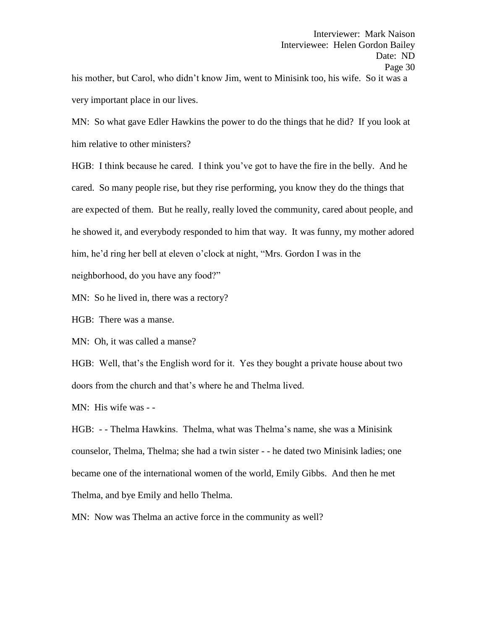his mother, but Carol, who didn't know Jim, went to Minisink too, his wife. So it was a very important place in our lives.

MN: So what gave Edler Hawkins the power to do the things that he did? If you look at him relative to other ministers?

HGB: I think because he cared. I think you've got to have the fire in the belly. And he cared. So many people rise, but they rise performing, you know they do the things that are expected of them. But he really, really loved the community, cared about people, and he showed it, and everybody responded to him that way. It was funny, my mother adored him, he'd ring her bell at eleven o'clock at night, "Mrs. Gordon I was in the

neighborhood, do you have any food?"

MN: So he lived in, there was a rectory?

HGB: There was a manse.

MN: Oh, it was called a manse?

HGB: Well, that's the English word for it. Yes they bought a private house about two doors from the church and that's where he and Thelma lived.

MN: His wife was - -

HGB: - - Thelma Hawkins. Thelma, what was Thelma's name, she was a Minisink counselor, Thelma, Thelma; she had a twin sister - - he dated two Minisink ladies; one became one of the international women of the world, Emily Gibbs. And then he met Thelma, and bye Emily and hello Thelma.

MN: Now was Thelma an active force in the community as well?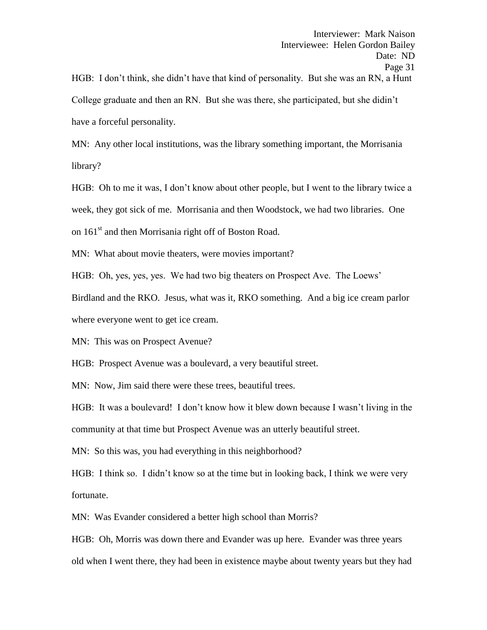College graduate and then an RN. But she was there, she participated, but she didin't have a forceful personality.

MN: Any other local institutions, was the library something important, the Morrisania library?

HGB: Oh to me it was, I don't know about other people, but I went to the library twice a week, they got sick of me. Morrisania and then Woodstock, we had two libraries. One on 161<sup>st</sup> and then Morrisania right off of Boston Road.

MN: What about movie theaters, were movies important?

HGB: Oh, yes, yes, yes. We had two big theaters on Prospect Ave. The Loews'

Birdland and the RKO. Jesus, what was it, RKO something. And a big ice cream parlor

where everyone went to get ice cream.

MN: This was on Prospect Avenue?

HGB: Prospect Avenue was a boulevard, a very beautiful street.

MN: Now, Jim said there were these trees, beautiful trees.

HGB: It was a boulevard! I don't know how it blew down because I wasn't living in the community at that time but Prospect Avenue was an utterly beautiful street.

MN: So this was, you had everything in this neighborhood?

HGB: I think so. I didn't know so at the time but in looking back, I think we were very fortunate.

MN: Was Evander considered a better high school than Morris?

HGB: Oh, Morris was down there and Evander was up here. Evander was three years old when I went there, they had been in existence maybe about twenty years but they had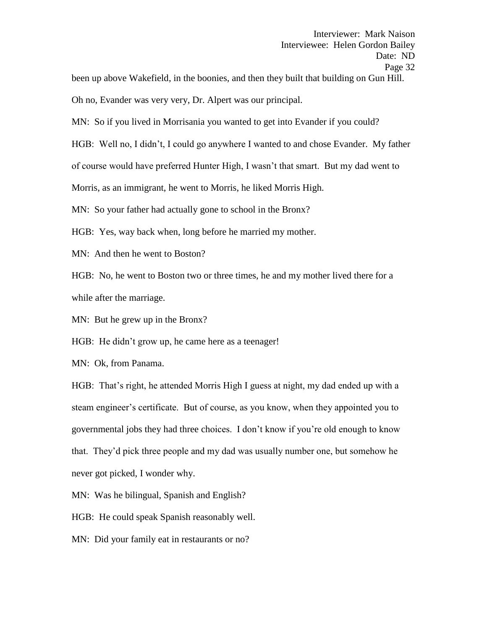been up above Wakefield, in the boonies, and then they built that building on Gun Hill.

Oh no, Evander was very very, Dr. Alpert was our principal.

MN: So if you lived in Morrisania you wanted to get into Evander if you could?

HGB: Well no, I didn't, I could go anywhere I wanted to and chose Evander. My father

of course would have preferred Hunter High, I wasn't that smart. But my dad went to

Morris, as an immigrant, he went to Morris, he liked Morris High.

MN: So your father had actually gone to school in the Bronx?

HGB: Yes, way back when, long before he married my mother.

MN: And then he went to Boston?

HGB: No, he went to Boston two or three times, he and my mother lived there for a while after the marriage.

MN: But he grew up in the Bronx?

HGB: He didn't grow up, he came here as a teenager!

MN: Ok, from Panama.

HGB: That's right, he attended Morris High I guess at night, my dad ended up with a steam engineer's certificate. But of course, as you know, when they appointed you to governmental jobs they had three choices. I don't know if you're old enough to know that. They'd pick three people and my dad was usually number one, but somehow he never got picked, I wonder why.

MN: Was he bilingual, Spanish and English?

HGB: He could speak Spanish reasonably well.

MN: Did your family eat in restaurants or no?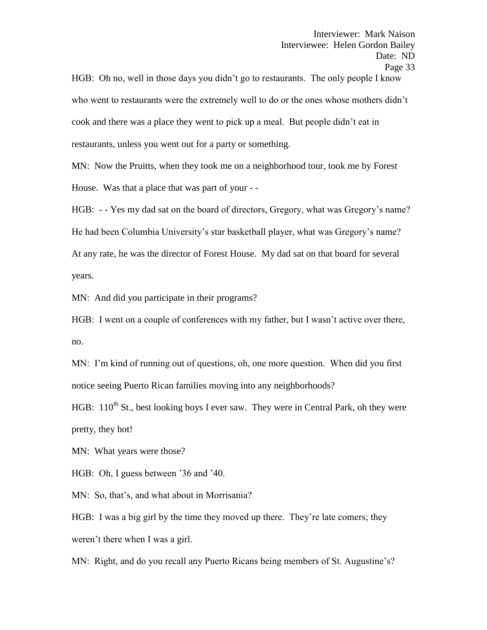HGB: Oh no, well in those days you didn't go to restaurants. The only people I know who went to restaurants were the extremely well to do or the ones whose mothers didn't cook and there was a place they went to pick up a meal. But people didn't eat in restaurants, unless you went out for a party or something.

MN: Now the Pruitts, when they took me on a neighborhood tour, took me by Forest House. Was that a place that was part of your - -

HGB: - - Yes my dad sat on the board of directors, Gregory, what was Gregory's name? He had been Columbia University's star basketball player, what was Gregory's name? At any rate, he was the director of Forest House. My dad sat on that board for several years.

MN: And did you participate in their programs?

HGB: I went on a couple of conferences with my father, but I wasn't active over there, no.

MN: I'm kind of running out of questions, oh, one more question. When did you first notice seeing Puerto Rican families moving into any neighborhoods?

HGB:  $110^{th}$  St., best looking boys I ever saw. They were in Central Park, oh they were pretty, they hot!

MN: What years were those?

HGB: Oh, I guess between '36 and '40.

MN: So, that's, and what about in Morrisania?

HGB: I was a big girl by the time they moved up there. They're late comers; they weren't there when I was a girl.

MN: Right, and do you recall any Puerto Ricans being members of St. Augustine's?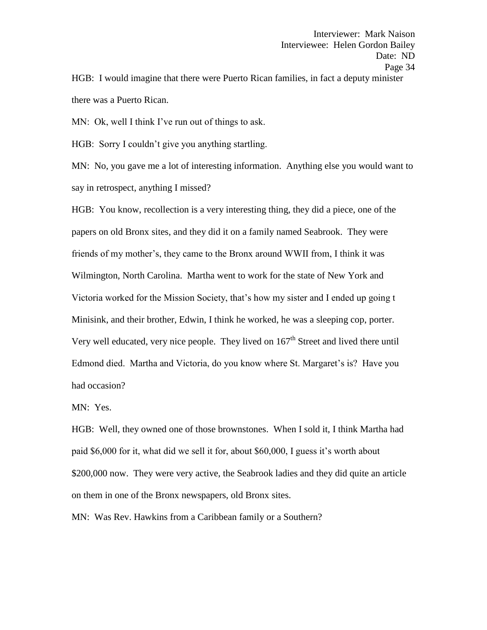Interviewee: Helen Gordon Bailey Date: ND Page 34 HGB: I would imagine that there were Puerto Rican families, in fact a deputy minister there was a Puerto Rican.

Interviewer: Mark Naison

MN: Ok, well I think I've run out of things to ask.

HGB: Sorry I couldn't give you anything startling.

MN: No, you gave me a lot of interesting information. Anything else you would want to say in retrospect, anything I missed?

HGB: You know, recollection is a very interesting thing, they did a piece, one of the papers on old Bronx sites, and they did it on a family named Seabrook. They were friends of my mother's, they came to the Bronx around WWII from, I think it was Wilmington, North Carolina. Martha went to work for the state of New York and Victoria worked for the Mission Society, that's how my sister and I ended up going t Minisink, and their brother, Edwin, I think he worked, he was a sleeping cop, porter. Very well educated, very nice people. They lived on  $167<sup>th</sup>$  Street and lived there until Edmond died. Martha and Victoria, do you know where St. Margaret's is? Have you had occasion?

MN: Yes.

HGB: Well, they owned one of those brownstones. When I sold it, I think Martha had paid \$6,000 for it, what did we sell it for, about \$60,000, I guess it's worth about \$200,000 now. They were very active, the Seabrook ladies and they did quite an article on them in one of the Bronx newspapers, old Bronx sites.

MN: Was Rev. Hawkins from a Caribbean family or a Southern?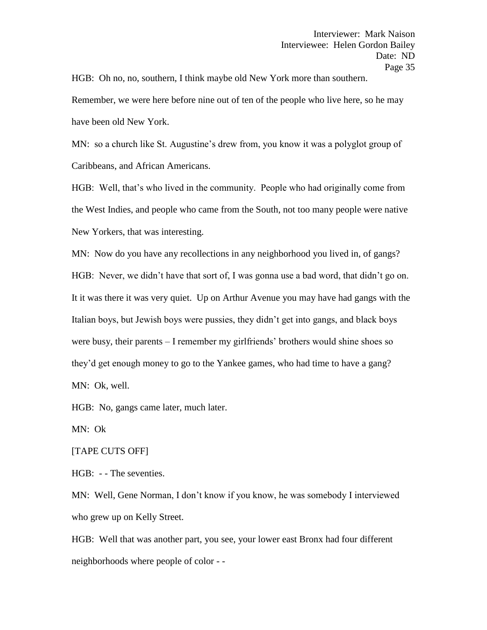HGB: Oh no, no, southern, I think maybe old New York more than southern.

Remember, we were here before nine out of ten of the people who live here, so he may have been old New York.

MN: so a church like St. Augustine's drew from, you know it was a polyglot group of Caribbeans, and African Americans.

HGB: Well, that's who lived in the community. People who had originally come from the West Indies, and people who came from the South, not too many people were native New Yorkers, that was interesting.

MN: Now do you have any recollections in any neighborhood you lived in, of gangs? HGB: Never, we didn't have that sort of, I was gonna use a bad word, that didn't go on. It it was there it was very quiet. Up on Arthur Avenue you may have had gangs with the Italian boys, but Jewish boys were pussies, they didn't get into gangs, and black boys were busy, their parents – I remember my girlfriends' brothers would shine shoes so they'd get enough money to go to the Yankee games, who had time to have a gang? MN: Ok, well.

HGB: No, gangs came later, much later.

MN: Ok

[TAPE CUTS OFF]

HGB: - - The seventies.

MN: Well, Gene Norman, I don't know if you know, he was somebody I interviewed who grew up on Kelly Street.

HGB: Well that was another part, you see, your lower east Bronx had four different neighborhoods where people of color - -